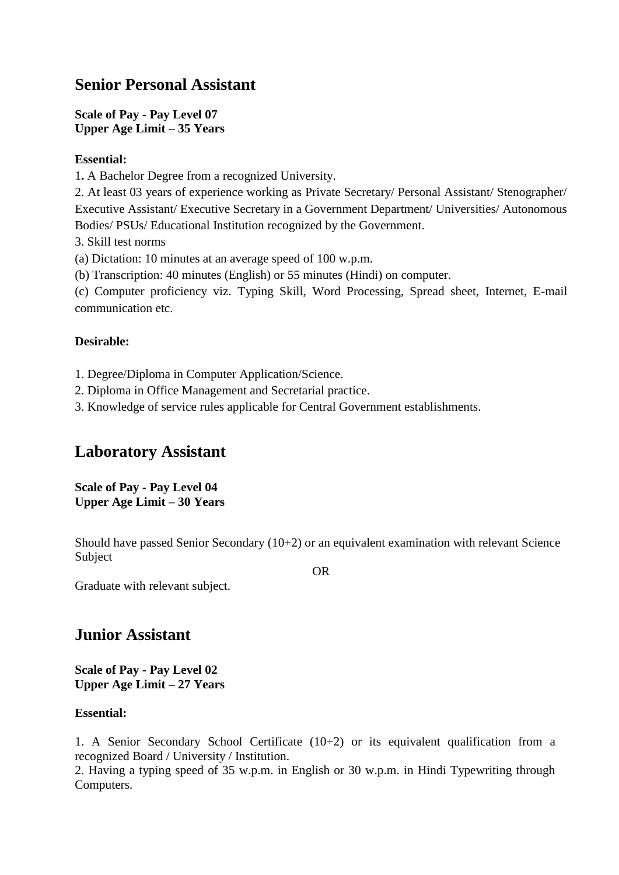# **Senior Personal Assistant**

**Scale of Pay - Pay Level 07 Upper Age Limit – 35 Years**

## **Essential:**

1**.** A Bachelor Degree from a recognized University.

2. At least 03 years of experience working as Private Secretary/ Personal Assistant/ Stenographer/ Executive Assistant/ Executive Secretary in a Government Department/ Universities/ Autonomous Bodies/ PSUs/ Educational Institution recognized by the Government.

3. Skill test norms

(a) Dictation: 10 minutes at an average speed of 100 w.p.m.

(b) Transcription: 40 minutes (English) or 55 minutes (Hindi) on computer.

(c) Computer proficiency viz. Typing Skill, Word Processing, Spread sheet, Internet, E-mail communication etc.

## **Desirable:**

1. Degree/Diploma in Computer Application/Science.

2. Diploma in Office Management and Secretarial practice.

3. Knowledge of service rules applicable for Central Government establishments.

# **Laboratory Assistant**

**Scale of Pay - Pay Level 04 Upper Age Limit – 30 Years**

Should have passed Senior Secondary (10+2) or an equivalent examination with relevant Science Subject

OR

Graduate with relevant subject.

# **Junior Assistant**

**Scale of Pay - Pay Level 02 Upper Age Limit – 27 Years**

## **Essential:**

1. A Senior Secondary School Certificate (10+2) or its equivalent qualification from a recognized Board / University / Institution.

2. Having a typing speed of 35 w.p.m. in English or 30 w.p.m. in Hindi Typewriting through Computers.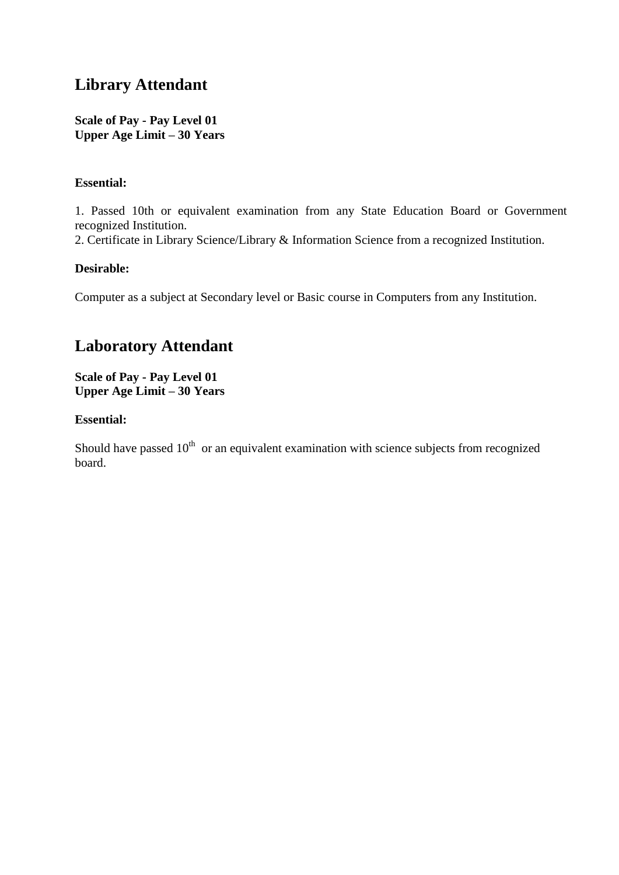# **Library Attendant**

**Scale of Pay - Pay Level 01 Upper Age Limit – 30 Years**

## **Essential:**

1. Passed 10th or equivalent examination from any State Education Board or Government recognized Institution.

2. Certificate in Library Science/Library & Information Science from a recognized Institution.

## **Desirable:**

Computer as a subject at Secondary level or Basic course in Computers from any Institution.

# **Laboratory Attendant**

**Scale of Pay - Pay Level 01 Upper Age Limit – 30 Years**

## **Essential:**

Should have passed  $10<sup>th</sup>$  or an equivalent examination with science subjects from recognized board.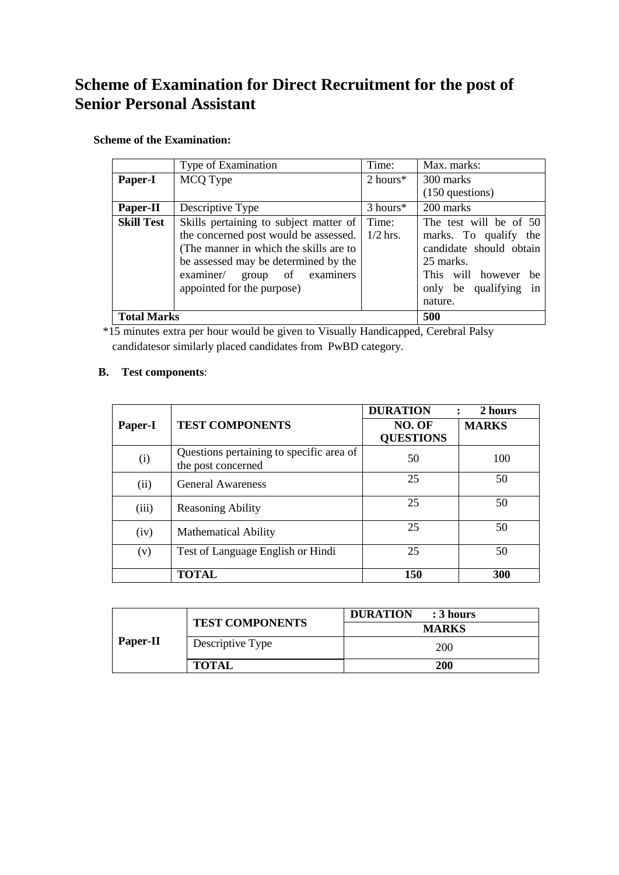# **Scheme of Examination for Direct Recruitment for the post of Senior Personal Assistant**

### **Scheme of the Examination:**

|                   | Type of Examination                    | Time:               | Max. marks:              |
|-------------------|----------------------------------------|---------------------|--------------------------|
| Paper-I           | MCQ Type                               | $2 \text{ hours}^*$ | 300 marks                |
|                   |                                        |                     | $(150$ questions)        |
| Paper-II          | Descriptive Type                       | 3 hours*            | 200 marks                |
| <b>Skill Test</b> | Skills pertaining to subject matter of | Time:               | The test will be of 50   |
|                   | the concerned post would be assessed.  | $1/2$ hrs.          | marks. To qualify the    |
|                   | (The manner in which the skills are to |                     | candidate should obtain  |
|                   | be assessed may be determined by the   |                     | 25 marks.                |
|                   | examiner/ group of examiners           |                     | This will however<br>be  |
|                   | appointed for the purpose)             |                     | in<br>only be qualifying |
|                   |                                        |                     | nature.                  |
|                   | 500<br><b>Total Marks</b>              |                     |                          |

\*15 minutes extra per hour would be given to Visually Handicapped, Cerebral Palsy candidatesor similarly placed candidates from PwBD category.

### **B. Test components**:

|         |                                                                | <b>DURATION</b>            | 2 hours      |
|---------|----------------------------------------------------------------|----------------------------|--------------|
| Paper-I | <b>TEST COMPONENTS</b>                                         | NO. OF<br><b>QUESTIONS</b> | <b>MARKS</b> |
| (i)     | Questions pertaining to specific area of<br>the post concerned | 50                         | 100          |
| (ii)    | <b>General Awareness</b>                                       | 25                         | 50           |
| (iii)   | <b>Reasoning Ability</b>                                       | 25                         | 50           |
| (iv)    | <b>Mathematical Ability</b>                                    | 25                         | 50           |
| (v)     | Test of Language English or Hindi                              | 25                         | 50           |
|         | <b>TOTAL</b>                                                   | 150                        | 300          |

|          | <b>TEST COMPONENTS</b> | <b>DURATION</b><br>: 3 hours |  |  |  |
|----------|------------------------|------------------------------|--|--|--|
|          |                        | <b>MARKS</b>                 |  |  |  |
| Paper-II | Descriptive Type       | 200                          |  |  |  |
|          | <b>TOTAL</b>           | 200                          |  |  |  |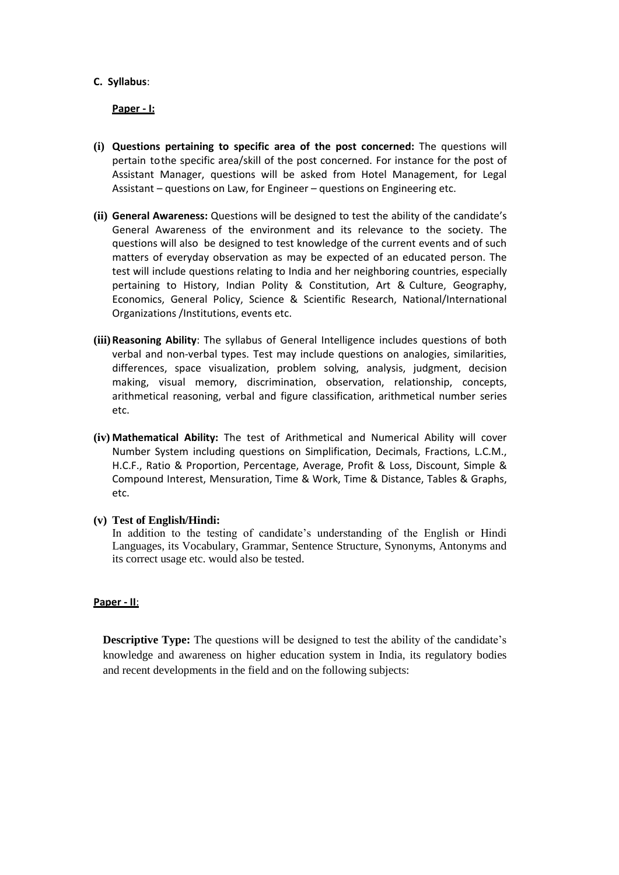#### **C. Syllabus**:

**Paper - I:**

- **(i) Questions pertaining to specific area of the post concerned:** The questions will pertain tothe specific area/skill of the post concerned. For instance for the post of Assistant Manager, questions will be asked from Hotel Management, for Legal Assistant – questions on Law, for Engineer – questions on Engineering etc.
- **(ii) General Awareness:** Questions will be designed to test the ability of the candidate's General Awareness of the environment and its relevance to the society. The questions will also be designed to test knowledge of the current events and of such matters of everyday observation as may be expected of an educated person. The test will include questions relating to India and her neighboring countries, especially pertaining to History, Indian Polity & Constitution, Art & Culture, Geography, Economics, General Policy, Science & Scientific Research, National/International Organizations /Institutions, events etc.
- **(iii)Reasoning Ability**: The syllabus of General Intelligence includes questions of both verbal and non-verbal types. Test may include questions on analogies, similarities, differences, space visualization, problem solving, analysis, judgment, decision making, visual memory, discrimination, observation, relationship, concepts, arithmetical reasoning, verbal and figure classification, arithmetical number series etc.
- **(iv) Mathematical Ability:** The test of Arithmetical and Numerical Ability will cover Number System including questions on Simplification, Decimals, Fractions, L.C.M., H.C.F., Ratio & Proportion, Percentage, Average, Profit & Loss, Discount, Simple & Compound Interest, Mensuration, Time & Work, Time & Distance, Tables & Graphs, etc.

#### **(v) Test of English/Hindi:**

In addition to the testing of candidate's understanding of the English or Hindi Languages, its Vocabulary, Grammar, Sentence Structure, Synonyms, Antonyms and its correct usage etc. would also be tested.

#### **Paper - II**:

**Descriptive Type:** The questions will be designed to test the ability of the candidate's knowledge and awareness on higher education system in India, its regulatory bodies and recent developments in the field and on the following subjects: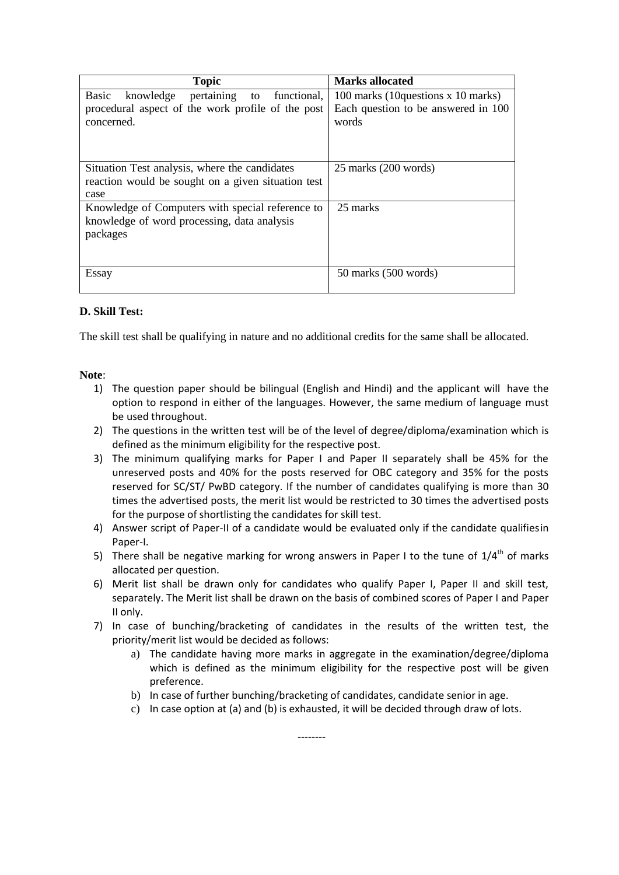| <b>Topic</b>                                                                                                | <b>Marks allocated</b>                       |
|-------------------------------------------------------------------------------------------------------------|----------------------------------------------|
| Basic<br>knowledge<br>pertaining<br>functional,<br>to                                                       | 100 marks (10questions x 10 marks)           |
| procedural aspect of the work profile of the post<br>concerned.                                             | Each question to be answered in 100<br>words |
| Situation Test analysis, where the candidates                                                               | $25$ marks $(200 \text{ words})$             |
| reaction would be sought on a given situation test                                                          |                                              |
| case                                                                                                        |                                              |
| Knowledge of Computers with special reference to<br>knowledge of word processing, data analysis<br>packages | 25 marks                                     |
| Essay                                                                                                       | 50 marks (500 words)                         |

## **D. Skill Test:**

The skill test shall be qualifying in nature and no additional credits for the same shall be allocated.

### **Note**:

- 1) The question paper should be bilingual (English and Hindi) and the applicant will have the option to respond in either of the languages. However, the same medium of language must be used throughout.
- 2) The questions in the written test will be of the level of degree/diploma/examination which is defined as the minimum eligibility for the respective post.
- 3) The minimum qualifying marks for Paper I and Paper II separately shall be 45% for the unreserved posts and 40% for the posts reserved for OBC category and 35% for the posts reserved for SC/ST/ PwBD category. If the number of candidates qualifying is more than 30 times the advertised posts, the merit list would be restricted to 30 times the advertised posts for the purpose of shortlisting the candidates for skill test.
- 4) Answer script of Paper-II of a candidate would be evaluated only if the candidate qualifiesin Paper-I.
- 5) There shall be negative marking for wrong answers in Paper I to the tune of  $1/4<sup>th</sup>$  of marks allocated per question.
- 6) Merit list shall be drawn only for candidates who qualify Paper I, Paper II and skill test, separately. The Merit list shall be drawn on the basis of combined scores of Paper I and Paper II only.
- 7) In case of bunching/bracketing of candidates in the results of the written test, the priority/merit list would be decided as follows:
	- a) The candidate having more marks in aggregate in the examination/degree/diploma which is defined as the minimum eligibility for the respective post will be given preference.
	- b) In case of further bunching/bracketing of candidates, candidate senior in age.

--------

c) In case option at (a) and (b) is exhausted, it will be decided through draw of lots.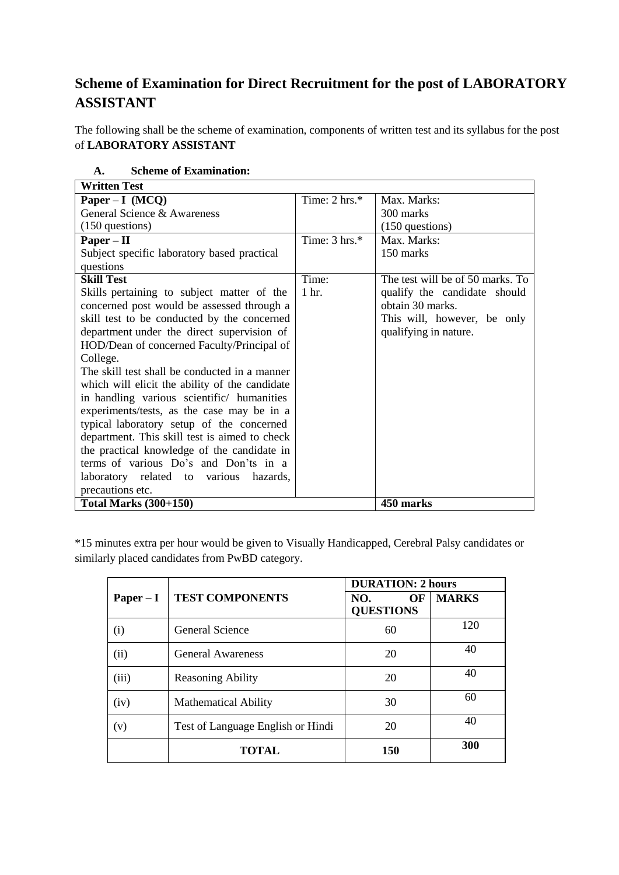# **Scheme of Examination for Direct Recruitment for the post of LABORATORY ASSISTANT**

The following shall be the scheme of examination, components of written test and its syllabus for the post of **LABORATORY ASSISTANT**

| <b>Written Test</b>                            |                          |                                  |
|------------------------------------------------|--------------------------|----------------------------------|
| $Paper - I (MCO)$                              | Time: $2 \text{ hrs.}^*$ | Max. Marks:                      |
| General Science & Awareness                    |                          | 300 marks                        |
| $(150$ questions)                              |                          | $(150$ questions)                |
| $Paper - II$                                   | Time: $3 \text{ hrs.}^*$ | Max. Marks:                      |
| Subject specific laboratory based practical    |                          | 150 marks                        |
| questions                                      |                          |                                  |
| <b>Skill Test</b>                              | Time:                    | The test will be of 50 marks. To |
| Skills pertaining to subject matter of the     | 1 hr.                    | qualify the candidate should     |
| concerned post would be assessed through a     |                          | obtain 30 marks.                 |
| skill test to be conducted by the concerned    |                          | This will, however, be only      |
| department under the direct supervision of     |                          | qualifying in nature.            |
| HOD/Dean of concerned Faculty/Principal of     |                          |                                  |
| College.                                       |                          |                                  |
| The skill test shall be conducted in a manner  |                          |                                  |
| which will elicit the ability of the candidate |                          |                                  |
| in handling various scientific/ humanities     |                          |                                  |
| experiments/tests, as the case may be in a     |                          |                                  |
| typical laboratory setup of the concerned      |                          |                                  |
| department. This skill test is aimed to check  |                          |                                  |
| the practical knowledge of the candidate in    |                          |                                  |
| terms of various Do's and Don'ts in a          |                          |                                  |
| laboratory related to various hazards,         |                          |                                  |
| precautions etc.                               |                          |                                  |
| <b>Total Marks (300+150)</b>                   |                          | 450 marks                        |

## **A. Scheme of Examination:**

\*15 minutes extra per hour would be given to Visually Handicapped, Cerebral Palsy candidates or similarly placed candidates from PwBD category.

|             | <b>TEST COMPONENTS</b>            | <b>DURATION: 2 hours</b>      |              |
|-------------|-----------------------------------|-------------------------------|--------------|
| $Paper - I$ |                                   | OF<br>NO.<br><b>QUESTIONS</b> | <b>MARKS</b> |
| (i)         | General Science                   | 60                            | 120          |
| (ii)        | <b>General Awareness</b>          | 20                            | 40           |
| (iii)       | <b>Reasoning Ability</b>          | 20                            | 40           |
| (iv)        | <b>Mathematical Ability</b>       | 30                            | 60           |
| (v)         | Test of Language English or Hindi | 20                            | 40           |
|             | <b>TOTAL</b>                      | <b>150</b>                    | 300          |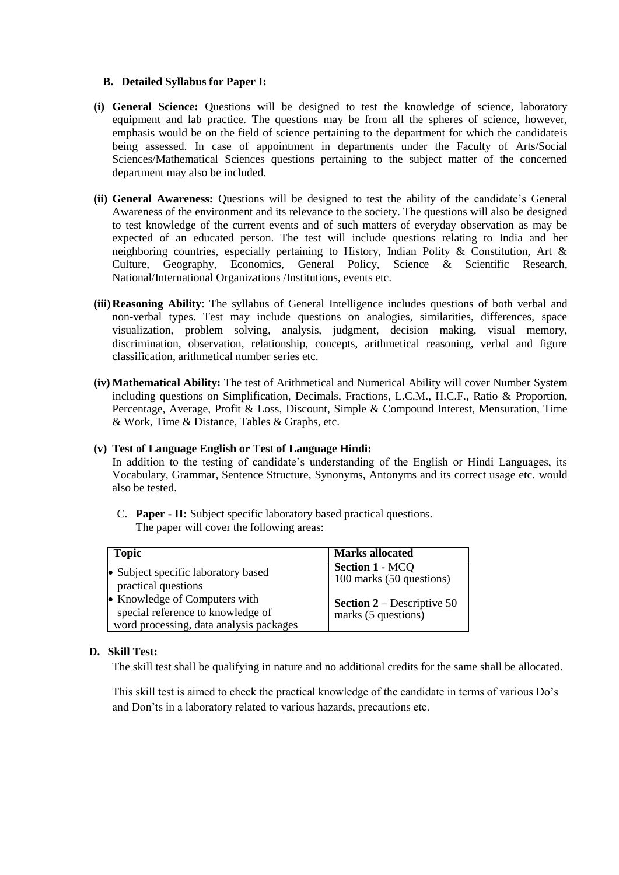#### **B. Detailed Syllabus for Paper I:**

- **(i) General Science:** Questions will be designed to test the knowledge of science, laboratory equipment and lab practice. The questions may be from all the spheres of science, however, emphasis would be on the field of science pertaining to the department for which the candidateis being assessed. In case of appointment in departments under the Faculty of Arts/Social Sciences/Mathematical Sciences questions pertaining to the subject matter of the concerned department may also be included.
- **(ii) General Awareness:** Questions will be designed to test the ability of the candidate's General Awareness of the environment and its relevance to the society. The questions will also be designed to test knowledge of the current events and of such matters of everyday observation as may be expected of an educated person. The test will include questions relating to India and her neighboring countries, especially pertaining to History, Indian Polity & Constitution, Art & Culture, Geography, Economics, General Policy, Science & Scientific Research, National/International Organizations /Institutions, events etc.
- **(iii)Reasoning Ability**: The syllabus of General Intelligence includes questions of both verbal and non-verbal types. Test may include questions on analogies, similarities, differences, space visualization, problem solving, analysis, judgment, decision making, visual memory, discrimination, observation, relationship, concepts, arithmetical reasoning, verbal and figure classification, arithmetical number series etc.
- **(iv) Mathematical Ability:** The test of Arithmetical and Numerical Ability will cover Number System including questions on Simplification, Decimals, Fractions, L.C.M., H.C.F., Ratio & Proportion, Percentage, Average, Profit & Loss, Discount, Simple & Compound Interest, Mensuration, Time & Work, Time & Distance, Tables & Graphs, etc.

#### **(v) Test of Language English or Test of Language Hindi:**

In addition to the testing of candidate's understanding of the English or Hindi Languages, its Vocabulary, Grammar, Sentence Structure, Synonyms, Antonyms and its correct usage etc. would also be tested.

C. **Paper - II:** Subject specific laboratory based practical questions. The paper will cover the following areas:

| <b>Topic</b>                                                                                                  | <b>Marks allocated</b>                                     |
|---------------------------------------------------------------------------------------------------------------|------------------------------------------------------------|
| • Subject specific laboratory based<br>practical questions                                                    | <b>Section 1 - MCQ</b><br>100 marks (50 questions)         |
| • Knowledge of Computers with<br>special reference to knowledge of<br>word processing, data analysis packages | <b>Section 2</b> – Descriptive 50<br>marks $(5$ questions) |

#### **D. Skill Test:**

The skill test shall be qualifying in nature and no additional credits for the same shall be allocated.

This skill test is aimed to check the practical knowledge of the candidate in terms of various Do's and Don'ts in a laboratory related to various hazards, precautions etc.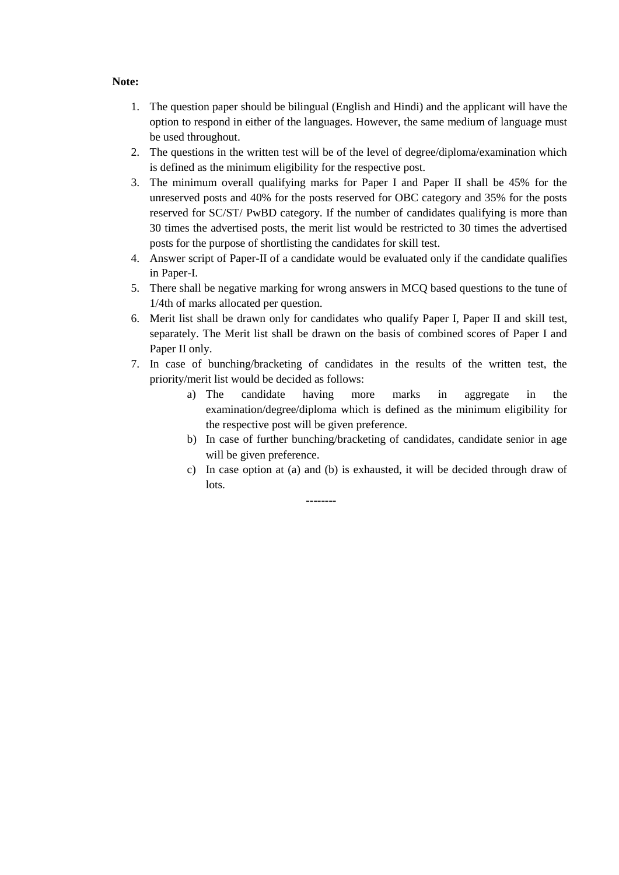#### **Note:**

- 1. The question paper should be bilingual (English and Hindi) and the applicant will have the option to respond in either of the languages. However, the same medium of language must be used throughout.
- 2. The questions in the written test will be of the level of degree/diploma/examination which is defined as the minimum eligibility for the respective post.
- 3. The minimum overall qualifying marks for Paper I and Paper II shall be 45% for the unreserved posts and 40% for the posts reserved for OBC category and 35% for the posts reserved for SC/ST/ PwBD category. If the number of candidates qualifying is more than 30 times the advertised posts, the merit list would be restricted to 30 times the advertised posts for the purpose of shortlisting the candidates for skill test.
- 4. Answer script of Paper-II of a candidate would be evaluated only if the candidate qualifies in Paper-I.
- 5. There shall be negative marking for wrong answers in MCQ based questions to the tune of 1/4th of marks allocated per question.
- 6. Merit list shall be drawn only for candidates who qualify Paper I, Paper II and skill test, separately. The Merit list shall be drawn on the basis of combined scores of Paper I and Paper II only.
- 7. In case of bunching/bracketing of candidates in the results of the written test, the priority/merit list would be decided as follows:
	- a) The candidate having more marks in aggregate in the examination/degree/diploma which is defined as the minimum eligibility for the respective post will be given preference.
	- b) In case of further bunching/bracketing of candidates, candidate senior in age will be given preference.
	- c) In case option at (a) and (b) is exhausted, it will be decided through draw of lots.

**--------**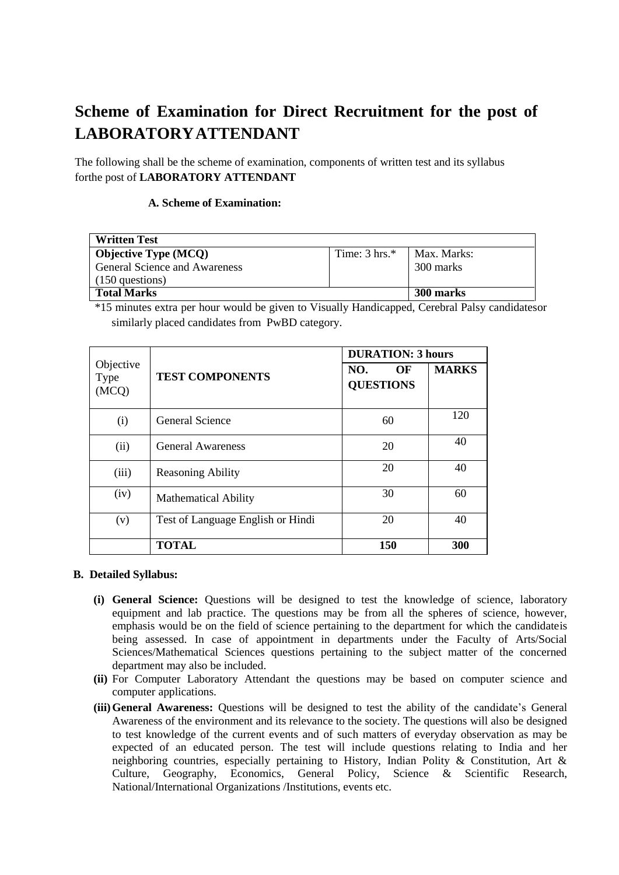# **Scheme of Examination for Direct Recruitment for the post of LABORATORYATTENDANT**

The following shall be the scheme of examination, components of written test and its syllabus forthe post of **LABORATORY ATTENDANT**

#### **A. Scheme of Examination:**

| <b>Written Test</b>                  |                          |             |
|--------------------------------------|--------------------------|-------------|
| <b>Objective Type (MCQ)</b>          | Time: $3 \text{ hrs.}^*$ | Max. Marks: |
| <b>General Science and Awareness</b> |                          | 300 marks   |
| $(150$ questions)                    |                          |             |
| <b>Total Marks</b><br>300 marks      |                          |             |

\*15 minutes extra per hour would be given to Visually Handicapped, Cerebral Palsy candidatesor similarly placed candidates from PwBD category.

|               | Objective<br>NO.<br><b>TEST COMPONENTS</b><br><b>QUESTIONS</b> |     | <b>DURATION: 3 hours</b> |  |  |
|---------------|----------------------------------------------------------------|-----|--------------------------|--|--|
| Type<br>(MCQ) |                                                                |     | <b>MARKS</b>             |  |  |
| (i)           | <b>General Science</b>                                         | 60  | 120                      |  |  |
| (ii)          | <b>General Awareness</b>                                       | 20  | 40                       |  |  |
| (iii)         | <b>Reasoning Ability</b>                                       | 20  | 40                       |  |  |
| (iv)          | <b>Mathematical Ability</b>                                    | 30  | 60                       |  |  |
| (v)           | Test of Language English or Hindi                              | 20  | 40                       |  |  |
|               | <b>TOTAL</b>                                                   | 150 | 300                      |  |  |

#### **B. Detailed Syllabus:**

- **(i) General Science:** Questions will be designed to test the knowledge of science, laboratory equipment and lab practice. The questions may be from all the spheres of science, however, emphasis would be on the field of science pertaining to the department for which the candidateis being assessed. In case of appointment in departments under the Faculty of Arts/Social Sciences/Mathematical Sciences questions pertaining to the subject matter of the concerned department may also be included.
- **(ii)** For Computer Laboratory Attendant the questions may be based on computer science and computer applications.
- **(iii)General Awareness:** Questions will be designed to test the ability of the candidate's General Awareness of the environment and its relevance to the society. The questions will also be designed to test knowledge of the current events and of such matters of everyday observation as may be expected of an educated person. The test will include questions relating to India and her neighboring countries, especially pertaining to History, Indian Polity & Constitution, Art & Culture, Geography, Economics, General Policy, Science & Scientific Research, National/International Organizations /Institutions, events etc.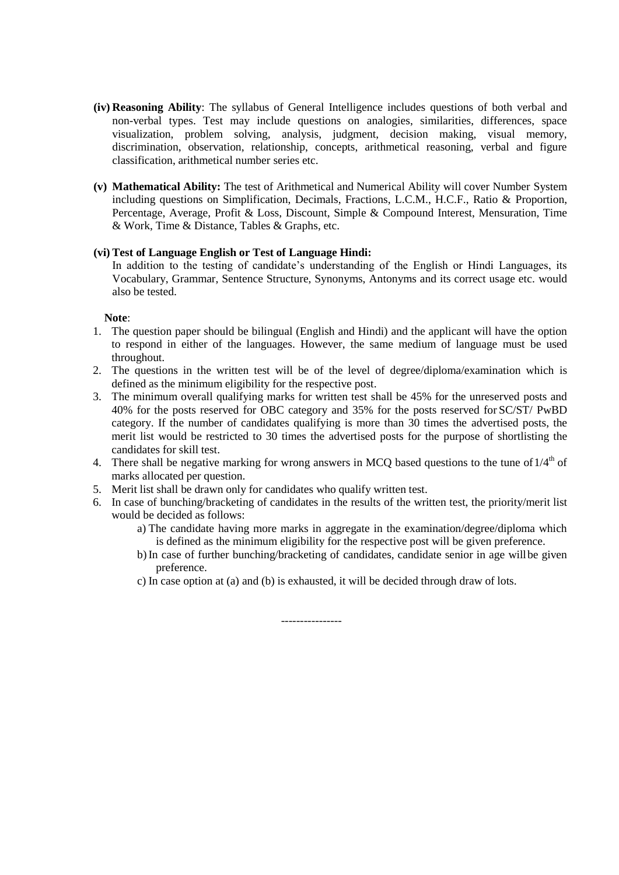- **(iv) Reasoning Ability**: The syllabus of General Intelligence includes questions of both verbal and non-verbal types. Test may include questions on analogies, similarities, differences, space visualization, problem solving, analysis, judgment, decision making, visual memory, discrimination, observation, relationship, concepts, arithmetical reasoning, verbal and figure classification, arithmetical number series etc.
- **(v) Mathematical Ability:** The test of Arithmetical and Numerical Ability will cover Number System including questions on Simplification, Decimals, Fractions, L.C.M., H.C.F., Ratio & Proportion, Percentage, Average, Profit & Loss, Discount, Simple & Compound Interest, Mensuration, Time & Work, Time & Distance, Tables & Graphs, etc.

#### **(vi) Test of Language English or Test of Language Hindi:**

In addition to the testing of candidate's understanding of the English or Hindi Languages, its Vocabulary, Grammar, Sentence Structure, Synonyms, Antonyms and its correct usage etc. would also be tested.

#### **Note**:

- 1. The question paper should be bilingual (English and Hindi) and the applicant will have the option to respond in either of the languages. However, the same medium of language must be used throughout.
- 2. The questions in the written test will be of the level of degree/diploma/examination which is defined as the minimum eligibility for the respective post.
- 3. The minimum overall qualifying marks for written test shall be 45% for the unreserved posts and 40% for the posts reserved for OBC category and 35% for the posts reserved for SC/ST/ PwBD category. If the number of candidates qualifying is more than 30 times the advertised posts, the merit list would be restricted to 30 times the advertised posts for the purpose of shortlisting the candidates for skill test.
- 4. There shall be negative marking for wrong answers in MCQ based questions to the tune of  $1/4<sup>th</sup>$  of marks allocated per question.
- 5. Merit list shall be drawn only for candidates who qualify written test.
- 6. In case of bunching/bracketing of candidates in the results of the written test, the priority/merit list would be decided as follows:
	- a) The candidate having more marks in aggregate in the examination/degree/diploma which is defined as the minimum eligibility for the respective post will be given preference.
	- b) In case of further bunching/bracketing of candidates, candidate senior in age will be given preference.
	- c) In case option at (a) and (b) is exhausted, it will be decided through draw of lots.

----------------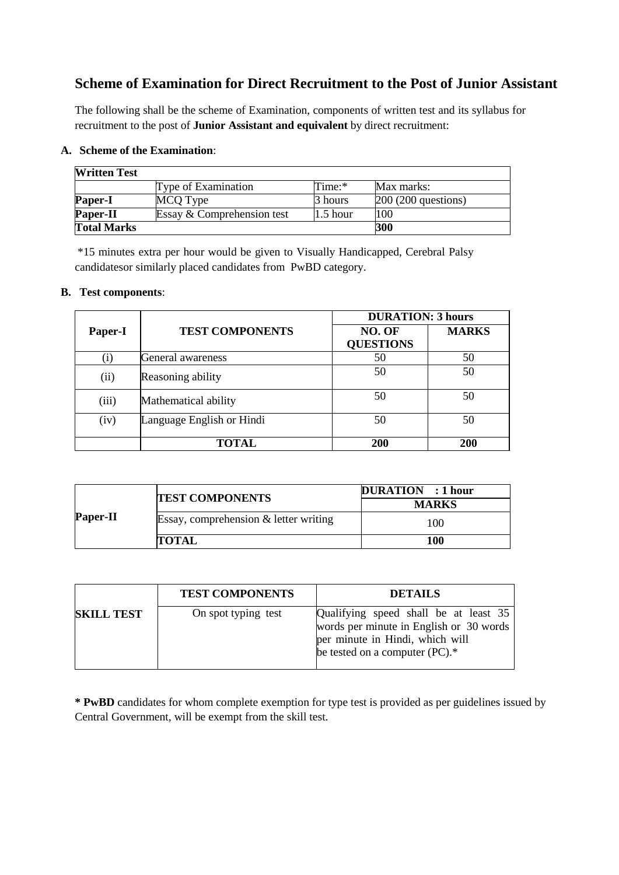# **Scheme of Examination for Direct Recruitment to the Post of Junior Assistant**

The following shall be the scheme of Examination, components of written test and its syllabus for recruitment to the post of **Junior Assistant and equivalent** by direct recruitment:

### **A. Scheme of the Examination**:

| <b>Written Test</b> |                            |            |                      |
|---------------------|----------------------------|------------|----------------------|
|                     | Type of Examination        | Time:*     | Max marks:           |
| Paper-I             | MCQ Type                   | 3 hours    | $200(200$ questions) |
| <b>Paper-II</b>     | Essay & Comprehension test | $1.5$ hour | 100                  |
| <b>Total Marks</b>  |                            |            | 300                  |

\*15 minutes extra per hour would be given to Visually Handicapped, Cerebral Palsy candidatesor similarly placed candidates from PwBD category.

### **B. Test components**:

|         |                           |                            | <b>DURATION: 3 hours</b> |  |  |
|---------|---------------------------|----------------------------|--------------------------|--|--|
| Paper-I | <b>TEST COMPONENTS</b>    | NO. OF<br><b>QUESTIONS</b> | <b>MARKS</b>             |  |  |
| (i)     | General awareness         | 50                         | 50                       |  |  |
| (ii)    | Reasoning ability         | 50                         | 50                       |  |  |
| (iii)   | Mathematical ability      | 50                         | 50                       |  |  |
| (iv)    | Language English or Hindi | 50                         | 50                       |  |  |
|         | TOTAL                     | <b>200</b>                 | 200                      |  |  |

|                 | <b>TEST COMPONENTS</b>                  | DURATION : 1 hour<br><b>MARKS</b> |
|-----------------|-----------------------------------------|-----------------------------------|
| <b>Paper-II</b> | Essay, comprehension $&$ letter writing | 100                               |
|                 | <b>TOTAL</b>                            | 100                               |

|                   | <b>TEST COMPONENTS</b> | <b>DETAILS</b>                                                                                                                                        |
|-------------------|------------------------|-------------------------------------------------------------------------------------------------------------------------------------------------------|
| <b>SKILL TEST</b> | On spot typing test    | Qualifying speed shall be at least 35<br>words per minute in English or 30 words<br>per minute in Hindi, which will<br>be tested on a computer (PC).* |

**\* PwBD** candidates for whom complete exemption for type test is provided as per guidelines issued by Central Government, will be exempt from the skill test.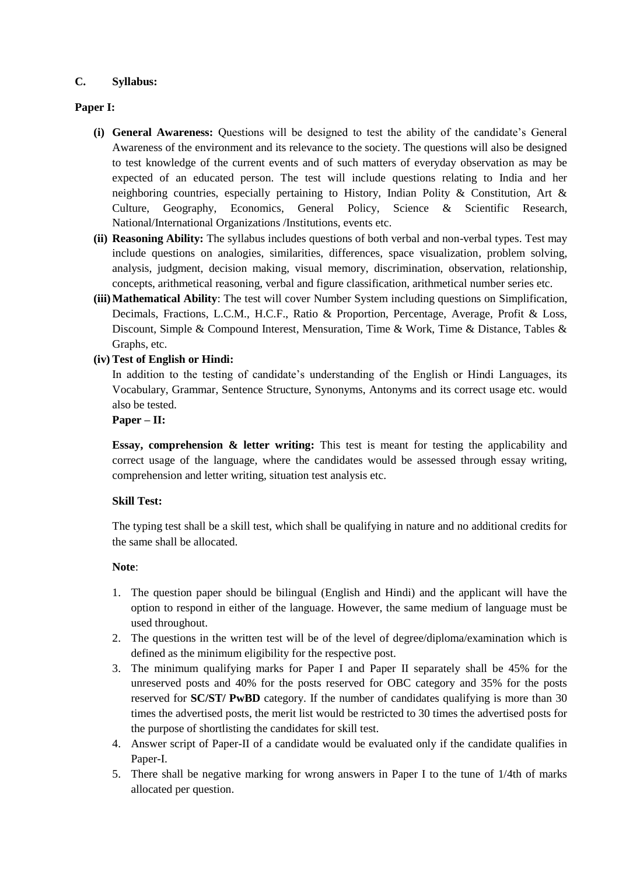### **C. Syllabus:**

### **Paper I:**

- **(i) General Awareness:** Questions will be designed to test the ability of the candidate's General Awareness of the environment and its relevance to the society. The questions will also be designed to test knowledge of the current events and of such matters of everyday observation as may be expected of an educated person. The test will include questions relating to India and her neighboring countries, especially pertaining to History, Indian Polity & Constitution, Art & Culture, Geography, Economics, General Policy, Science & Scientific Research, National/International Organizations /Institutions, events etc.
- **(ii) Reasoning Ability:** The syllabus includes questions of both verbal and non-verbal types. Test may include questions on analogies, similarities, differences, space visualization, problem solving, analysis, judgment, decision making, visual memory, discrimination, observation, relationship, concepts, arithmetical reasoning, verbal and figure classification, arithmetical number series etc.
- **(iii)Mathematical Ability**: The test will cover Number System including questions on Simplification, Decimals, Fractions, L.C.M., H.C.F., Ratio & Proportion, Percentage, Average, Profit & Loss, Discount, Simple & Compound Interest, Mensuration, Time & Work, Time & Distance, Tables & Graphs, etc.

### **(iv) Test of English or Hindi:**

In addition to the testing of candidate's understanding of the English or Hindi Languages, its Vocabulary, Grammar, Sentence Structure, Synonyms, Antonyms and its correct usage etc. would also be tested.

#### **Paper – II:**

**Essay, comprehension & letter writing:** This test is meant for testing the applicability and correct usage of the language, where the candidates would be assessed through essay writing, comprehension and letter writing, situation test analysis etc.

#### **Skill Test:**

The typing test shall be a skill test, which shall be qualifying in nature and no additional credits for the same shall be allocated.

#### **Note**:

- 1. The question paper should be bilingual (English and Hindi) and the applicant will have the option to respond in either of the language. However, the same medium of language must be used throughout.
- 2. The questions in the written test will be of the level of degree/diploma/examination which is defined as the minimum eligibility for the respective post.
- 3. The minimum qualifying marks for Paper I and Paper II separately shall be 45% for the unreserved posts and 40% for the posts reserved for OBC category and 35% for the posts reserved for **SC/ST/ PwBD** category. If the number of candidates qualifying is more than 30 times the advertised posts, the merit list would be restricted to 30 times the advertised posts for the purpose of shortlisting the candidates for skill test.
- 4. Answer script of Paper-II of a candidate would be evaluated only if the candidate qualifies in Paper-I.
- 5. There shall be negative marking for wrong answers in Paper I to the tune of 1/4th of marks allocated per question.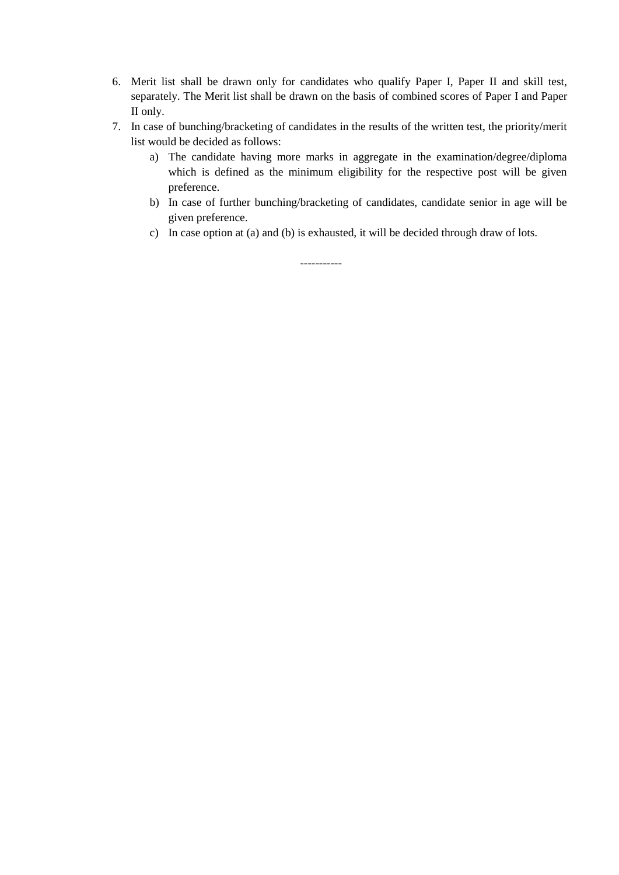- 6. Merit list shall be drawn only for candidates who qualify Paper I, Paper II and skill test, separately. The Merit list shall be drawn on the basis of combined scores of Paper I and Paper II only.
- 7. In case of bunching/bracketing of candidates in the results of the written test, the priority/merit list would be decided as follows:
	- a) The candidate having more marks in aggregate in the examination/degree/diploma which is defined as the minimum eligibility for the respective post will be given preference.
	- b) In case of further bunching/bracketing of candidates, candidate senior in age will be given preference.
	- c) In case option at (a) and (b) is exhausted, it will be decided through draw of lots.

-----------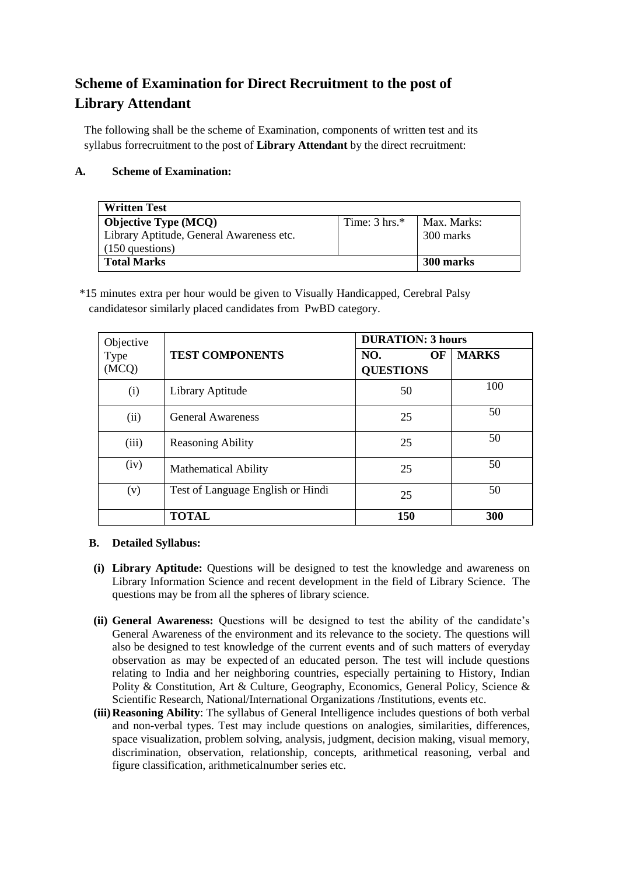# **Scheme of Examination for Direct Recruitment to the post of Library Attendant**

The following shall be the scheme of Examination, components of written test and its syllabus forrecruitment to the post of **Library Attendant** by the direct recruitment:

## **A. Scheme of Examination:**

| <b>Written Test</b>                                                                          |                          |                          |
|----------------------------------------------------------------------------------------------|--------------------------|--------------------------|
| <b>Objective Type (MCQ)</b><br>Library Aptitude, General Awareness etc.<br>$(150$ questions) | Time: $3 \text{ hrs.}^*$ | Max. Marks:<br>300 marks |
| <b>Total Marks</b>                                                                           | 300 marks                |                          |

\*15 minutes extra per hour would be given to Visually Handicapped, Cerebral Palsy candidatesor similarly placed candidates from PwBD category.

| Objective     | <b>TEST COMPONENTS</b>            | <b>DURATION: 3 hours</b>      |              |
|---------------|-----------------------------------|-------------------------------|--------------|
| Type<br>(MCQ) |                                   | NO.<br>OF<br><b>QUESTIONS</b> | <b>MARKS</b> |
| (i)           | Library Aptitude                  | 50                            | 100          |
| (ii)          | <b>General Awareness</b>          | 25                            | 50           |
| (iii)         | <b>Reasoning Ability</b>          | 25                            | 50           |
| (iv)          | <b>Mathematical Ability</b>       | 25                            | 50           |
| (v)           | Test of Language English or Hindi | 25                            | 50           |
|               | <b>TOTAL</b>                      | <b>150</b>                    | 300          |

### **B. Detailed Syllabus:**

- **(i) Library Aptitude:** Questions will be designed to test the knowledge and awareness on Library Information Science and recent development in the field of Library Science. The questions may be from all the spheres of library science.
- **(ii) General Awareness:** Questions will be designed to test the ability of the candidate's General Awareness of the environment and its relevance to the society. The questions will also be designed to test knowledge of the current events and of such matters of everyday observation as may be expected of an educated person. The test will include questions relating to India and her neighboring countries, especially pertaining to History, Indian Polity & Constitution, Art & Culture, Geography, Economics, General Policy, Science & Scientific Research, National/International Organizations /Institutions, events etc.
- **(iii)Reasoning Ability**: The syllabus of General Intelligence includes questions of both verbal and non-verbal types. Test may include questions on analogies, similarities, differences, space visualization, problem solving, analysis, judgment, decision making, visual memory, discrimination, observation, relationship, concepts, arithmetical reasoning, verbal and figure classification, arithmeticalnumber series etc.